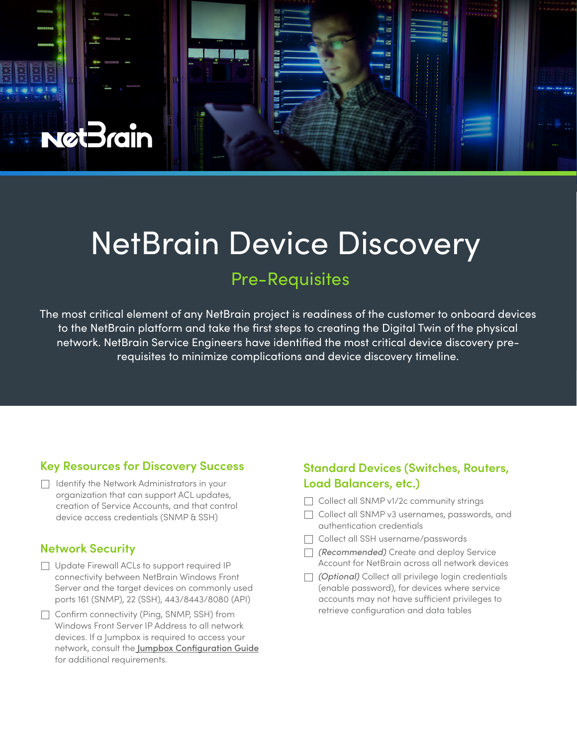

# NetBrain Device Discovery

# Pre-Requisites

The most critical element of any NetBrain project is readiness of the customer to onboard devices to the NetBrain platform and take the first steps to creating the Digital Twin of the physical network. NetBrain Service Engineers have identified the most critical device discovery prerequisites to minimize complications and device discovery timeline.

# **Key Resources for Discovery Success**

 $\Box$  Identify the Network Administrators in your organization that can support ACL updates, creation of Service Accounts, and that control device access credentials (SNMP & SSH)

# **Network Security**

- Update Firewall ACLs to support required IP connectivity between NetBrain Windows Front Server and the target devices on commonly used ports 161 (SNMP), 22 (SSH), 443/8443/8080 (API)
- $\Box$  Confirm connectivity (Ping, SNMP, SSH) from Windows Front Server IP Address to all network devices. If a Jumpbox is required to access your network, consult the [Jumpbox Configuration Guide](https://www.netbraintech.com/docs/ie100a/help/index.html?network-settings.htm#jumpbox)  for additional requirements.

# **Standard Devices (Switches, Routers, Load Balancers, etc.)**

- Collect all SNMP v1/2c community strings
- Collect all SNMP v3 usernames, passwords, and authentication credentials
- Collect all SSH username/passwords
- *(Recommended)* Create and deploy Service Account for NetBrain across all network devices
- *(Optional)* Collect all privilege login credentials (enable password), for devices where service accounts may not have sufficient privileges to retrieve configuration and data tables